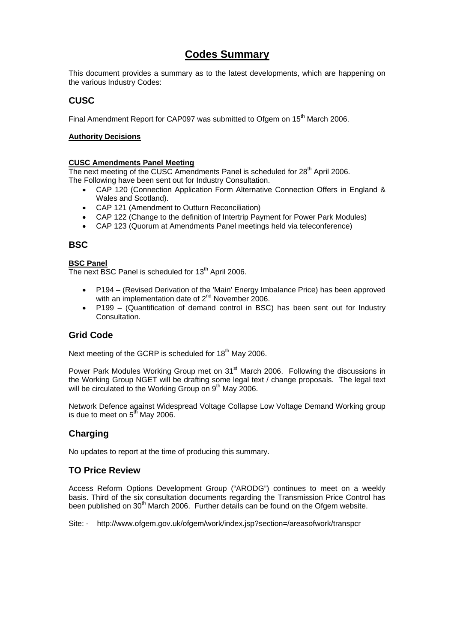# **Codes Summary**

This document provides a summary as to the latest developments, which are happening on the various Industry Codes:

# **CUSC**

Final Amendment Report for CAP097 was submitted to Ofgem on 15<sup>th</sup> March 2006.

### **Authority Decisions**

### **CUSC Amendments Panel Meeting**

The next meeting of the CUSC Amendments Panel is scheduled for  $28<sup>th</sup>$  April 2006.

The Following have been sent out for Industry Consultation.

- CAP 120 (Connection Application Form Alternative Connection Offers in England & Wales and Scotland).
- CAP 121 (Amendment to Outturn Reconciliation)
- CAP 122 (Change to the definition of Intertrip Payment for Power Park Modules)
- CAP 123 (Quorum at Amendments Panel meetings held via teleconference)

## **BSC**

### **BSC Panel**

The next BSC Panel is scheduled for  $13<sup>th</sup>$  April 2006.

- P194 (Revised Derivation of the 'Main' Energy Imbalance Price) has been approved with an implementation date of 2<sup>nd</sup> November 2006.
- P199 (Quantification of demand control in BSC) has been sent out for Industry Consultation.

## **Grid Code**

Next meeting of the GCRP is scheduled for 18<sup>th</sup> May 2006.

Power Park Modules Working Group met on  $31<sup>st</sup>$  March 2006. Following the discussions in the Working Group NGET will be drafting some legal text / change proposals. The legal text will be circulated to the Working Group on 9<sup>th</sup> May 2006.

Network Defence against Widespread Voltage Collapse Low Voltage Demand Working group is due to meet on  $5<sup>th</sup>$  May 2006.

# **Charging**

No updates to report at the time of producing this summary.

## **TO Price Review**

Access Reform Options Development Group ("ARODG") continues to meet on a weekly basis. Third of the six consultation documents regarding the Transmission Price Control has been published on 30<sup>th</sup> March 2006. Further details can be found on the Ofgem website.

Site: - http://www.ofgem.gov.uk/ofgem/work/index.jsp?section=/areasofwork/transpcr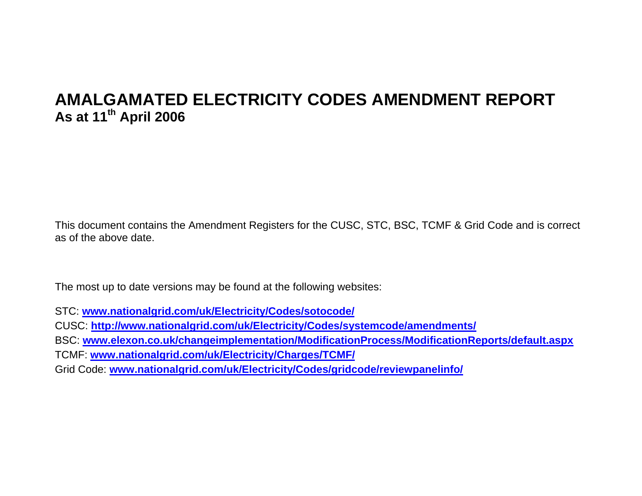# **AMALGAMATED ELECTRICITY CODES AMENDMENT REPORT As at 11th April 2006**

This document contains the Amendment Registers for the CUSC, STC, BSC, TCMF & Grid Code and is correct as of the above date.

The most up to date versions may be found at the following websites:

STC: **www.nationalgrid.com/uk/Electricity/Codes/sotocode/**

CUSC: **http://www.nationalgrid.com/uk/Electricity/Codes/systemcode/amendments/**

BSC: **www.elexon.co.uk/changeimplementation/ModificationProcess/ModificationReports/default.aspx**

TCMF: **www.nationalgrid.com/uk/Electricity/Charges/TCMF/**

Grid Code: **www.nationalgrid.com/uk/Electricity/Codes/gridcode/reviewpanelinfo/**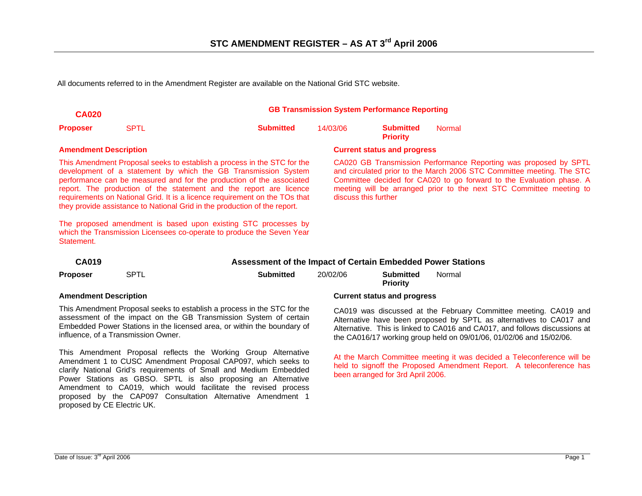All documents referred to in the Amendment Register are available on the National Grid STC website.

| <b>CA020</b>                 |                                                             |                                                                                                                                                                                                                                                                                                                                                                                                                                                                                                                                                                                               | <b>GB Transmission System Performance Reporting</b> |                                     |                                                                                                                                                                                                                                                                                          |  |  |
|------------------------------|-------------------------------------------------------------|-----------------------------------------------------------------------------------------------------------------------------------------------------------------------------------------------------------------------------------------------------------------------------------------------------------------------------------------------------------------------------------------------------------------------------------------------------------------------------------------------------------------------------------------------------------------------------------------------|-----------------------------------------------------|-------------------------------------|------------------------------------------------------------------------------------------------------------------------------------------------------------------------------------------------------------------------------------------------------------------------------------------|--|--|
| <b>Proposer</b>              | <b>SPTL</b>                                                 | <b>Submitted</b>                                                                                                                                                                                                                                                                                                                                                                                                                                                                                                                                                                              | 14/03/06                                            | <b>Submitted</b><br><b>Priority</b> | <b>Normal</b>                                                                                                                                                                                                                                                                            |  |  |
| <b>Amendment Description</b> |                                                             |                                                                                                                                                                                                                                                                                                                                                                                                                                                                                                                                                                                               | <b>Current status and progress</b>                  |                                     |                                                                                                                                                                                                                                                                                          |  |  |
| Statement.                   |                                                             | This Amendment Proposal seeks to establish a process in the STC for the<br>development of a statement by which the GB Transmission System<br>performance can be measured and for the production of the associated<br>report. The production of the statement and the report are licence<br>requirements on National Grid. It is a licence requirement on the TOs that<br>they provide assistance to National Grid in the production of the report.<br>The proposed amendment is based upon existing STC processes by<br>which the Transmission Licensees co-operate to produce the Seven Year | discuss this further                                |                                     | CA020 GB Transmission Performance Reporting was proposed by SPTL<br>and circulated prior to the March 2006 STC Committee meeting. The STC<br>Committee decided for CA020 to go forward to the Evaluation phase. A<br>meeting will be arranged prior to the next STC Committee meeting to |  |  |
| <b>CA019</b>                 | Assessment of the Impact of Certain Embedded Power Stations |                                                                                                                                                                                                                                                                                                                                                                                                                                                                                                                                                                                               |                                                     |                                     |                                                                                                                                                                                                                                                                                          |  |  |
| <b>Proposer</b>              | <b>SPTL</b>                                                 | <b>Submitted</b>                                                                                                                                                                                                                                                                                                                                                                                                                                                                                                                                                                              | 20/02/06                                            | <b>Submitted</b><br><b>Priority</b> | Normal                                                                                                                                                                                                                                                                                   |  |  |

This Amendment Proposal seeks to establish a process in the STC for the assessment of the impact on the GB Transmission System of certain Embedded Power Stations in the licensed area, or within the boundary of influence, of a Transmission Owner.

This Amendment Proposal reflects the Working Group Alternative Amendment 1 to CUSC Amendment Proposal CAP097, which seeks to clarify National Grid's requirements of Small and Medium Embedded Power Stations as GBSO. SPTL is also proposing an Alternative Amendment to CA019, which would facilitate the revised process proposed by the CAP097 Consultation Alternative Amendment 1 proposed by CE Electric UK.

### **Amendment Description Current status and progress**

CA019 was discussed at the February Committee meeting. CA019 and Alternative have been proposed by SPTL as alternatives to CA017 and Alternative. This is linked to CA016 and CA017, and follows discussions at the CA016/17 working group held on 09/01/06, 01/02/06 and 15/02/06.

At the March Committee meeting it was decided a Teleconference will be held to signoff the Proposed Amendment Report. A teleconference has been arranged for 3rd April 2006.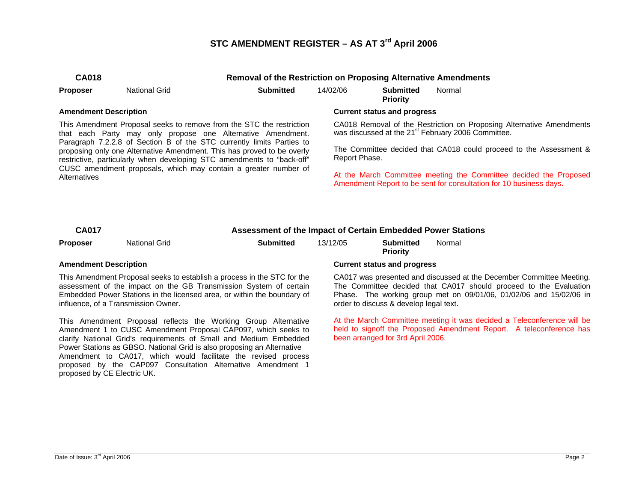# **STC AMENDMENT REGISTER – AS AT 3rd April 2006**

| М<br>A0<br>Î. |  |
|---------------|--|
|---------------|--|

**CA018 Removal of the Restriction on Proposing Alternative Amendments** 

|  | Proposer | <b>National Grid</b> | <b>Submitted</b> | 14/02/06 | <b>Submitted</b> |
|--|----------|----------------------|------------------|----------|------------------|
|--|----------|----------------------|------------------|----------|------------------|

**Priority**  Normal

This Amendment Proposal seeks to remove from the STC the restriction that each Party may only propose one Alternative Amendment. Paragraph 7.2.2.8 of Section B of the STC currently limits Parties to proposing only one Alternative Amendment. This has proved to be overly restrictive, particularly when developing STC amendments to "back-off" CUSC amendment proposals, which may contain a greater number of **Alternatives** 

### **Amendment Description Current status and progress**

CA018 Removal of the Restriction on Proposing Alternative Amendments was discussed at the 21<sup>st</sup> February 2006 Committee.

The Committee decided that CA018 could proceed to the Assessment & Report Phase.

At the March Committee meeting the Committee decided the Proposed Amendment Report to be sent for consultation for 10 business days.

| <b>CA017</b><br>Assessment of the Impact of Certain Embedded Power Stations |
|-----------------------------------------------------------------------------|
|-----------------------------------------------------------------------------|

| <b>Proposer</b> | <b>National Grid</b> | <b>Submitted</b> | 13/12/05 | <b>Submitted</b> |
|-----------------|----------------------|------------------|----------|------------------|
|                 |                      |                  |          |                  |

This Amendment Proposal seeks to establish a process in the STC for the assessment of the impact on the GB Transmission System of certain Embedded Power Stations in the licensed area, or within the boundary of influence, of a Transmission Owner.

This Amendment Proposal reflects the Working Group Alternative Amendment 1 to CUSC Amendment Proposal CAP097, which seeks to clarify National Grid's requirements of Small and Medium Embedded Power Stations as GBSO. National Grid is also proposing an Alternative Amendment to CA017, which would facilitate the revised process proposed by the CAP097 Consultation Alternative Amendment 1 proposed by CE Electric UK.

### **Amendment Description Current status and progress**

**Priority** 

 CA017 was presented and discussed at the December Committee Meeting. The Committee decided that CA017 should proceed to the Evaluation Phase. The working group met on 09/01/06, 01/02/06 and 15/02/06 in order to discuss & develop legal text.

Normal

At the March Committee meeting it was decided a Teleconference will be held to signoff the Proposed Amendment Report. A teleconference has been arranged for 3rd April 2006.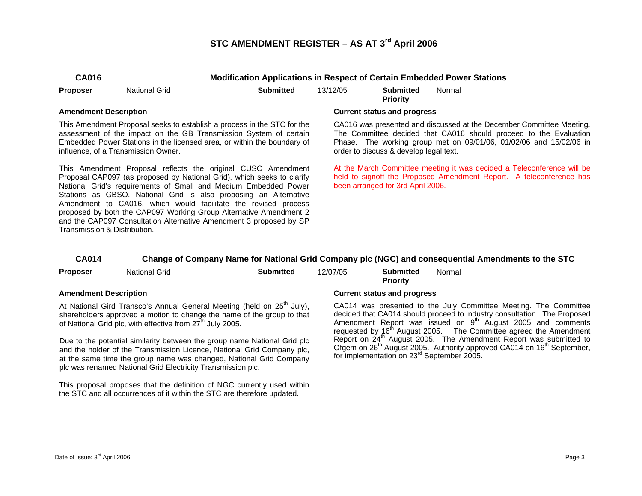| <b>CA016</b> |               | <b>Modification Applications in Respect of Certain Embedded Pow</b> |          |                                     |        |
|--------------|---------------|---------------------------------------------------------------------|----------|-------------------------------------|--------|
| Proposer     | National Grid | <b>Submitted</b>                                                    | 13/12/05 | <b>Submitted</b><br><b>Priority</b> | Normal |

This Amendment Proposal seeks to establish a process in the STC for the assessment of the impact on the GB Transmission System of certain Embedded Power Stations in the licensed area, or within the boundary of influence, of a Transmission Owner.

This Amendment Proposal reflects the original CUSC Amendment Proposal CAP097 (as proposed by National Grid), which seeks to clarify National Grid's requirements of Small and Medium Embedded Power Stations as GBSO. National Grid is also proposing an Alternative Amendment to CA016, which would facilitate the revised process proposed by both the CAP097 Working Group Alternative Amendment 2 and the CAP097 Consultation Alternative Amendment 3 proposed by SP Transmission & Distribution.

### **Amendment Description Current status and progress**

 CA016 was presented and discussed at the December Committee Meeting. The Committee decided that CA016 should proceed to the Evaluation Phase. The working group met on 09/01/06, 01/02/06 and 15/02/06 in order to discuss & develop legal text.

**Power Stations** 

At the March Committee meeting it was decided a Teleconference will be held to signoff the Proposed Amendment Report. A teleconference has been arranged for 3rd April 2006.

### **CA014 Change of Company Name for National Grid Company plc (NGC) and consequential Amendments to the STC**

| <b>Proposer</b>              | National Grid                                                                                                                                                                                                                         | <b>Submitted</b> | 12/07/05 | <b>Submitted</b><br><b>Priority</b> | Normal                                                                                                                                                                                             |
|------------------------------|---------------------------------------------------------------------------------------------------------------------------------------------------------------------------------------------------------------------------------------|------------------|----------|-------------------------------------|----------------------------------------------------------------------------------------------------------------------------------------------------------------------------------------------------|
| <b>Amendment Description</b> |                                                                                                                                                                                                                                       |                  |          | <b>Current status and progress</b>  |                                                                                                                                                                                                    |
|                              | At National Gird Transco's Annual General Meeting (held on 25 <sup>th</sup> July),<br>shareholders approved a motion to change the name of the group to that<br>of National Grid plc, with effective from 27 <sup>th</sup> July 2005. |                  |          |                                     | CA014 was presented to the July Committ<br>decided that CA014 should proceed to industr<br>Amendment Report was issued on 9 <sup>th</sup> A<br>requested by 16 <sup>th</sup> August 2005. The Comm |
|                              | Due to the potential similarity between the group name National Grid plc.                                                                                                                                                             |                  |          |                                     | Report on 24 <sup>th</sup> August 2005. The Amendme                                                                                                                                                |

Due to the potential similarity between the group name National Grid plc and the holder of the Transmission Licence, National Grid Company plc, at the same time the group name was changed, National Grid Company plc was renamed National Grid Electricity Transmission plc.

This proposal proposes that the definition of NGC currently used within the STC and all occurrences of it within the STC are therefore updated.

ee Meeting. The Committee y consultation. The Proposed ugust 2005 and comments nittee agreed the Amendment ent Report was submitted to Ofgem on 26<sup>th</sup> August 2005. Authority approved CA014 on 16<sup>th</sup> September, for implementation on 23rd September 2005.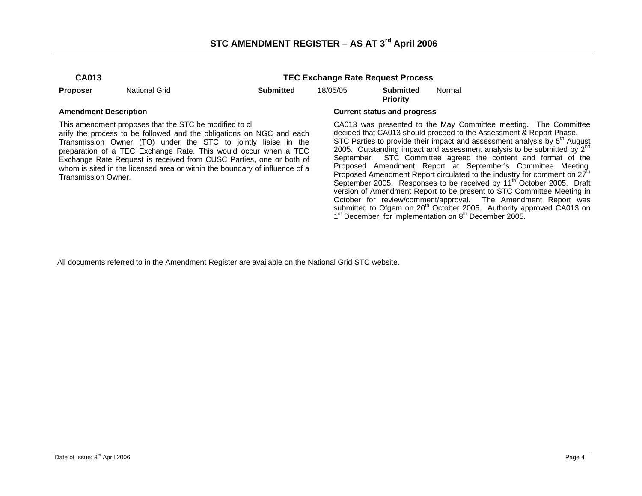# **STC AMENDMENT REGISTER – AS AT 3rd April 2006**

**TEC Exchange Rate Request Process** 

**Proposer** National Grid **Submitted** 18/05/05 **Submitted** 

**Priority**  Normal

This amendment proposes that the STC be modified to cl

arify the process to be followed and the obligations on NGC and each Transmission Owner (TO) under the STC to jointly liaise in the preparation of a TEC Exchange Rate. This would occur when a TEC Exchange Rate Request is received from CUSC Parties, one or both of whom is sited in the licensed area or within the boundary of influence of a Transmission Owner.

### **Amendment Description Current status and progress**

CA013 was presented to the May Committee meeting. The Committee decided that CA013 should proceed to the Assessment & Report Phase. STC Parties to provide their impact and assessment analysis by  $5<sup>th</sup>$  August 2005. Outstanding impact and assessment analysis to be submitted by  $2^{nd}$ September. STC Committee agreed the content and format of the Proposed Amendment Report at September's Committee Meeting. Proposed Amendment Report circulated to the industry for comment on  $27<sup>th</sup>$ September 2005. Responses to be received by 11<sup>th</sup> October 2005. Draft version of Amendment Report to be present to STC Committee Meeting in October for review/comment/approval. The Amendment Report was submitted to Ofgem on 20<sup>th</sup> October 2005. Authority approved CA013 on 1<sup>st</sup> December, for implementation on 8<sup>th</sup> December 2005.

All documents referred to in the Amendment Register are available on the National Grid STC website.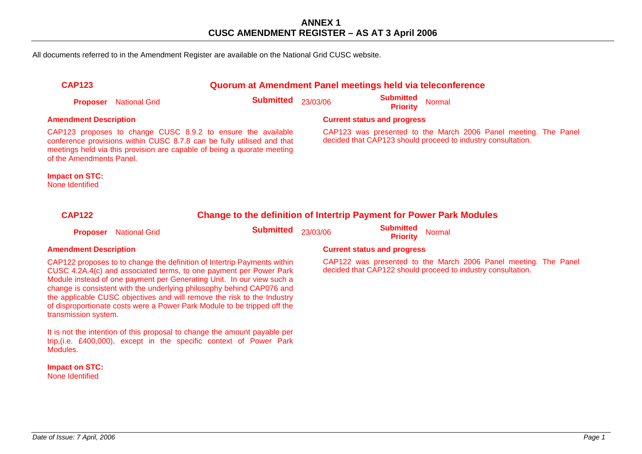All documents referred to in the Amendment Register are available on the National Grid CUSC website.

| <b>CAP123</b>                            |                                                                                                                                                                                                                                                                                                                                                                                                                                                         |                  |          | Quorum at Amendment Panel meetings held via teleconference                                                                      |        |  |
|------------------------------------------|---------------------------------------------------------------------------------------------------------------------------------------------------------------------------------------------------------------------------------------------------------------------------------------------------------------------------------------------------------------------------------------------------------------------------------------------------------|------------------|----------|---------------------------------------------------------------------------------------------------------------------------------|--------|--|
| <b>Proposer</b>                          | <b>National Grid</b>                                                                                                                                                                                                                                                                                                                                                                                                                                    | <b>Submitted</b> | 23/03/06 | <b>Submitted</b><br><b>Priority</b>                                                                                             | Normal |  |
| <b>Amendment Description</b>             |                                                                                                                                                                                                                                                                                                                                                                                                                                                         |                  |          | <b>Current status and progress</b>                                                                                              |        |  |
| of the Amendments Panel.                 | CAP123 proposes to change CUSC 8.9.2 to ensure the available<br>conference provisions within CUSC 8.7.8 can be fully utilised and that<br>meetings held via this provision are capable of being a quorate meeting                                                                                                                                                                                                                                       |                  |          | CAP123 was presented to the March 2006 Panel meeting. The Panel<br>decided that CAP123 should proceed to industry consultation. |        |  |
| <b>Impact on STC:</b><br>None Identified |                                                                                                                                                                                                                                                                                                                                                                                                                                                         |                  |          |                                                                                                                                 |        |  |
| <b>CAP122</b>                            |                                                                                                                                                                                                                                                                                                                                                                                                                                                         |                  |          | <b>Change to the definition of Intertrip Payment for Power Park Modules</b>                                                     |        |  |
| <b>Proposer</b>                          | <b>National Grid</b>                                                                                                                                                                                                                                                                                                                                                                                                                                    | <b>Submitted</b> | 23/03/06 | <b>Submitted</b><br><b>Priority</b>                                                                                             | Normal |  |
| <b>Amendment Description</b>             |                                                                                                                                                                                                                                                                                                                                                                                                                                                         |                  |          | <b>Current status and progress</b>                                                                                              |        |  |
| transmission system.                     | CAP122 proposes to to change the definition of Intertrip Payments within<br>CUSC 4.2A.4(c) and associated terms, to one payment per Power Park<br>Module instead of one payment per Generating Unit. In our view such a<br>change is consistent with the underlying philosophy behind CAP076 and<br>the applicable CUSC objectives and will remove the risk to the Industry<br>of disproportionate costs were a Power Park Module to be tripped off the |                  |          | CAP122 was presented to the March 2006 Panel meeting. The Panel<br>decided that CAP122 should proceed to industry consultation. |        |  |
| Modules.                                 | It is not the intention of this proposal to change the amount payable per<br>trip, (i.e. £400,000), except in the specific context of Power Park                                                                                                                                                                                                                                                                                                        |                  |          |                                                                                                                                 |        |  |

**Impact on STC:**  None Identified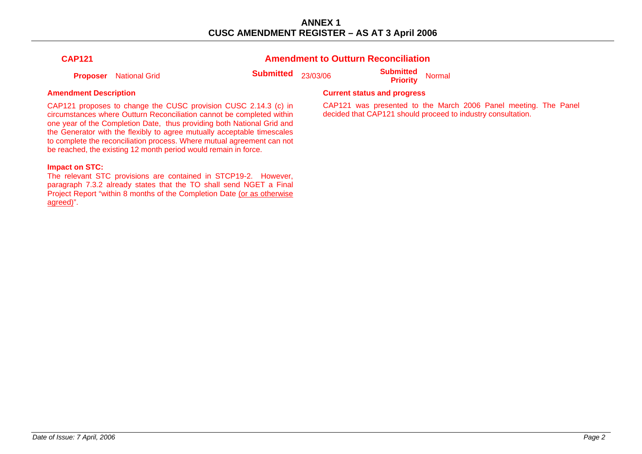**Amendment to Outturn Reconciliation** 

| v<br>۰. |
|---------|
|---------|

**Proposer** National Grid **Submitted** 23/03/06 **Submitted Priority** Normal

CAP121 proposes to change the CUSC provision CUSC 2.14.3 (c) in circumstances where Outturn Reconciliation cannot be completed within one year of the Completion Date, thus providing both National Grid and the Generator with the flexibly to agree mutually acceptable timescales to complete the reconciliation process. Where mutual agreement can not be reached, the existing 12 month period would remain in force.

### **Impact on STC:**

The relevant STC provisions are contained in STCP19-2. However, paragraph 7.3.2 already states that the TO shall send NGET a Final Project Report "within 8 months of the Completion Date (or as otherwise agreed)".

### **Amendment Description Current status and progress Amendment Description Current status and progress**

CAP121 was presented to the March 2006 Panel meeting. The Panel decided that CAP121 should proceed to industry consultation.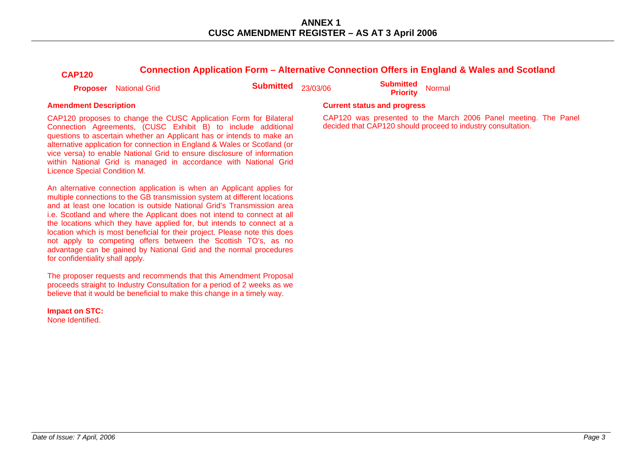| <b>CAP120</b>                    | Connection Application Form - Alternative Connection Offers in England & Wales and Scotland                                                                                                                                                                                                                                                                                                                                                                                                                                                                                                              |                  |          |                                     |                                                                                                                                 |  |
|----------------------------------|----------------------------------------------------------------------------------------------------------------------------------------------------------------------------------------------------------------------------------------------------------------------------------------------------------------------------------------------------------------------------------------------------------------------------------------------------------------------------------------------------------------------------------------------------------------------------------------------------------|------------------|----------|-------------------------------------|---------------------------------------------------------------------------------------------------------------------------------|--|
| <b>Proposer</b>                  | <b>National Grid</b>                                                                                                                                                                                                                                                                                                                                                                                                                                                                                                                                                                                     | <b>Submitted</b> | 23/03/06 | <b>Submitted</b><br><b>Priority</b> | <b>Normal</b>                                                                                                                   |  |
| <b>Amendment Description</b>     |                                                                                                                                                                                                                                                                                                                                                                                                                                                                                                                                                                                                          |                  |          | <b>Current status and progress</b>  |                                                                                                                                 |  |
| Licence Special Condition M.     | CAP120 proposes to change the CUSC Application Form for Bilateral<br>Connection Agreements, (CUSC Exhibit B) to include additional<br>questions to ascertain whether an Applicant has or intends to make an<br>alternative application for connection in England & Wales or Scotland (or<br>vice versa) to enable National Grid to ensure disclosure of information<br>within National Grid is managed in accordance with National Grid                                                                                                                                                                  |                  |          |                                     | CAP120 was presented to the March 2006 Panel meeting. The Panel<br>decided that CAP120 should proceed to industry consultation. |  |
| for confidentiality shall apply. | An alternative connection application is when an Applicant applies for<br>multiple connections to the GB transmission system at different locations<br>and at least one location is outside National Grid's Transmission area<br>i.e. Scotland and where the Applicant does not intend to connect at all<br>the locations which they have applied for, but intends to connect at a<br>location which is most beneficial for their project. Please note this does<br>not apply to competing offers between the Scottish TO's, as no<br>advantage can be gained by National Grid and the normal procedures |                  |          |                                     |                                                                                                                                 |  |

**Impact on STC:**  None Identified.

The proposer requests and recommends that this Amendment Proposal proceeds straight to Industry Consultation for a period of 2 weeks as we believe that it would be beneficial to make this change in a timely way.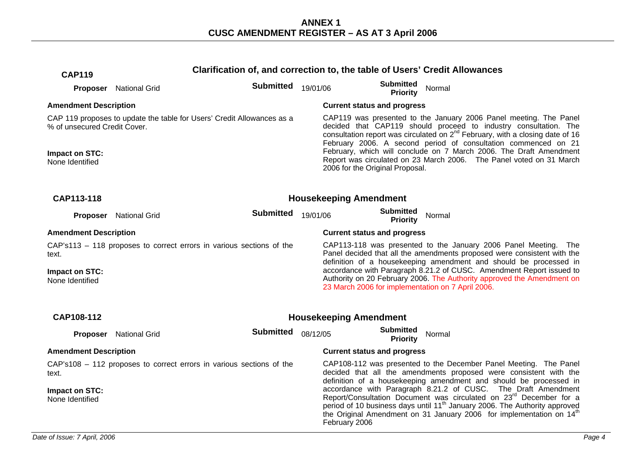| <b>CAP119</b>                     |                        | Clarification of, and correction to, the table of Users' Credit Allowances |          |                                                                                                                                                                              |                                     |        |                                                                                                                                                                                                                                                                                                                               |  |
|-----------------------------------|------------------------|----------------------------------------------------------------------------|----------|------------------------------------------------------------------------------------------------------------------------------------------------------------------------------|-------------------------------------|--------|-------------------------------------------------------------------------------------------------------------------------------------------------------------------------------------------------------------------------------------------------------------------------------------------------------------------------------|--|
|                                   | Proposer National Grid | <b>Submitted</b>                                                           | 19/01/06 |                                                                                                                                                                              | <b>Submitted</b><br><b>Priority</b> | Normal |                                                                                                                                                                                                                                                                                                                               |  |
| <b>Amendment Description</b>      |                        |                                                                            |          | <b>Current status and progress</b>                                                                                                                                           |                                     |        |                                                                                                                                                                                                                                                                                                                               |  |
| % of unsecured Credit Cover.      |                        | CAP 119 proposes to update the table for Users' Credit Allowances as a     |          |                                                                                                                                                                              |                                     |        | CAP119 was presented to the January 2006 Panel meeting. The Panel<br>decided that CAP119 should proceed to industry consultation. The<br>consultation report was circulated on $2^{nd}$ February, with a closing date of 16<br>February 2006. A second period of consultation commenced on 21                                 |  |
| Impact on STC:<br>None Identified |                        |                                                                            |          | February, which will conclude on 7 March 2006. The Draft Amendment<br>Report was circulated on 23 March 2006. The Panel voted on 31 March<br>2006 for the Original Proposal. |                                     |        |                                                                                                                                                                                                                                                                                                                               |  |
| CAP113-118                        |                        |                                                                            |          | <b>Housekeeping Amendment</b>                                                                                                                                                |                                     |        |                                                                                                                                                                                                                                                                                                                               |  |
| Proposer                          | <b>National Grid</b>   | <b>Submitted</b>                                                           | 19/01/06 |                                                                                                                                                                              | <b>Submitted</b><br><b>Priority</b> | Normal |                                                                                                                                                                                                                                                                                                                               |  |
| <b>Amendment Description</b>      |                        |                                                                            |          | <b>Current status and progress</b>                                                                                                                                           |                                     |        |                                                                                                                                                                                                                                                                                                                               |  |
| text.                             |                        | CAP's113 - 118 proposes to correct errors in various sections of the       |          |                                                                                                                                                                              |                                     |        | CAP113-118 was presented to the January 2006 Panel Meeting. The<br>Panel decided that all the amendments proposed were consistent with the<br>definition of a housekeeping amendment and should be processed in                                                                                                               |  |
| Impact on STC:<br>None Identified |                        |                                                                            |          | 23 March 2006 for implementation on 7 April 2006.                                                                                                                            |                                     |        | accordance with Paragraph 8.21.2 of CUSC. Amendment Report issued to<br>Authority on 20 February 2006. The Authority approved the Amendment on                                                                                                                                                                                |  |
| CAP108-112                        |                        |                                                                            |          | <b>Housekeeping Amendment</b>                                                                                                                                                |                                     |        |                                                                                                                                                                                                                                                                                                                               |  |
|                                   | Proposer National Grid | <b>Submitted</b>                                                           | 08/12/05 |                                                                                                                                                                              | <b>Submitted</b><br><b>Priority</b> | Normal |                                                                                                                                                                                                                                                                                                                               |  |
| <b>Amendment Description</b>      |                        |                                                                            |          | <b>Current status and progress</b>                                                                                                                                           |                                     |        |                                                                                                                                                                                                                                                                                                                               |  |
| text.                             |                        | CAP's108 - 112 proposes to correct errors in various sections of the       |          |                                                                                                                                                                              |                                     |        | CAP108-112 was presented to the December Panel Meeting. The Panel<br>decided that all the amendments proposed were consistent with the<br>definition of a housekeeping amendment and should be processed in                                                                                                                   |  |
| Impact on STC:<br>None Identified |                        |                                                                            |          | February 2006                                                                                                                                                                |                                     |        | accordance with Paragraph 8.21.2 of CUSC. The Draft Amendment<br>Report/Consultation Document was circulated on 23 <sup>rd</sup> December for a<br>period of 10 business days until 11 <sup>th</sup> January 2006. The Authority approved<br>the Original Amendment on 31 January 2006 for implementation on 14 <sup>th</sup> |  |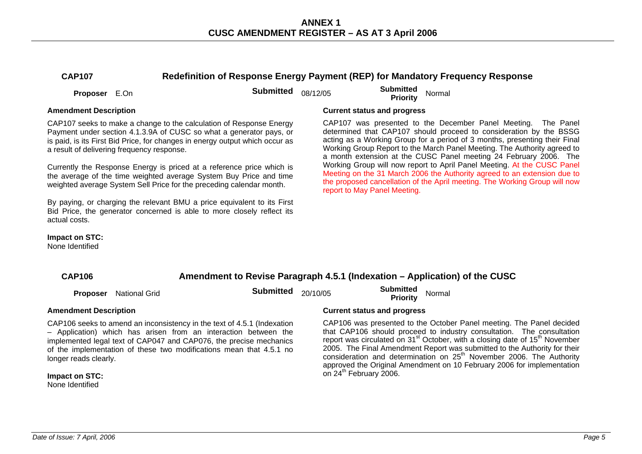# **CAP107 Redefinition of Response Energy Payment (REP) for Mandatory Frequency Response**

**Proposer** E.On **Submitted** 08/12/05 **Submitted Proposer** E.On **Submitted** 08/12/05 **Submitted** Priority

### **Amendment Description Current status and progress**

CAP107 seeks to make a change to the calculation of Response Energy Payment under section 4.1.3.9A of CUSC so what a generator pays, or is paid, is its First Bid Price, for changes in energy output which occur as a result of delivering frequency response.

Currently the Response Energy is priced at a reference price which is the average of the time weighted average System Buy Price and time weighted average System Sell Price for the preceding calendar month.

By paying, or charging the relevant BMU a price equivalent to its First Bid Price, the generator concerned is able to more closely reflect its actual costs.

CAP107 was presented to the December Panel Meeting. The Panel determined that CAP107 should proceed to consideration by the BSSG acting as a Working Group for a period of 3 months, presenting their Final Working Group Report to the March Panel Meeting. The Authority agreed to a month extension at the CUSC Panel meeting 24 February 2006. The Working Group will now report to April Panel Meeting. At the CUSC Panel Meeting on the 31 March 2006 the Authority agreed to an extension due to the proposed cancellation of the April meeting. The Working Group will now report to May Panel Meeting.

# **Impact on STC:**

None Identified

| Amendment to Revise Paragraph 4.5.1 (Indexation – Application) of the CUSC<br><b>CAP106</b> |                      |                                                                                                                                                                                                                                                                                         |          |                                     |                                                                                                                                                                                                                                                                                                                                      |
|---------------------------------------------------------------------------------------------|----------------------|-----------------------------------------------------------------------------------------------------------------------------------------------------------------------------------------------------------------------------------------------------------------------------------------|----------|-------------------------------------|--------------------------------------------------------------------------------------------------------------------------------------------------------------------------------------------------------------------------------------------------------------------------------------------------------------------------------------|
| <b>Proposer</b>                                                                             | <b>National Grid</b> | <b>Submitted</b>                                                                                                                                                                                                                                                                        | 20/10/05 | <b>Submitted</b><br><b>Priority</b> | Normal                                                                                                                                                                                                                                                                                                                               |
| <b>Amendment Description</b>                                                                |                      |                                                                                                                                                                                                                                                                                         |          | <b>Current status and progress</b>  |                                                                                                                                                                                                                                                                                                                                      |
| longer reads clearly.                                                                       |                      | CAP106 seeks to amend an inconsistency in the text of 4.5.1 (Indexation<br>- Application) which has arisen from an interaction between the<br>implemented legal text of CAP047 and CAP076, the precise mechanics<br>of the implementation of these two modifications mean that 4.5.1 no |          |                                     | CAP106 was presented to the October Panel meeting. The<br>that CAP106 should proceed to industry consultation. The<br>report was circulated on 31 <sup>st</sup> October, with a closing date of 1<br>2005. The Final Amendment Report was submitted to the Aut<br>consideration and determination on 25 <sup>th</sup> November 2006. |

**Impact on STC:**  None Identified

Panel decided e consultation  $5<sup>th</sup>$  November thority for their consideration and determination on 25" November 2006. The Authority approved the Original Amendment on 10 February 2006 for implementation  $\sin 24$ <sup>th</sup> February 2006.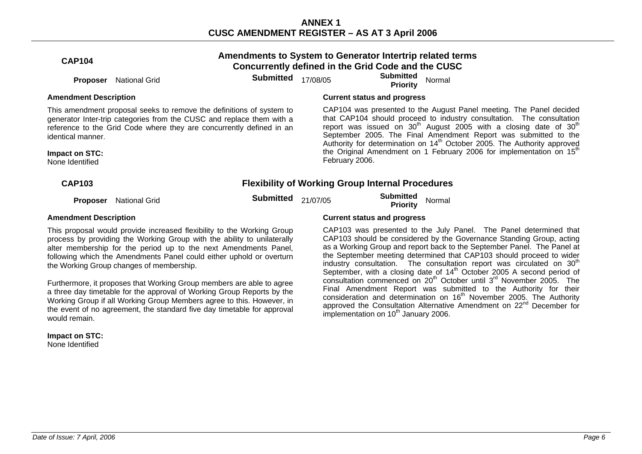| <b>CAP104</b>                                                                                                                                                                                                                                                                                                                             |                      |                                                                                                                                                                                                                       | Amendments to System to Generator Intertrip related terms<br>Concurrently defined in the Grid Code and the CUSC |                                                         |                                                                                                                                                                                                                                                                                                                                                                                   |                                                                                                                                                                                                                                                                                                                                                                                                                                                                      |
|-------------------------------------------------------------------------------------------------------------------------------------------------------------------------------------------------------------------------------------------------------------------------------------------------------------------------------------------|----------------------|-----------------------------------------------------------------------------------------------------------------------------------------------------------------------------------------------------------------------|-----------------------------------------------------------------------------------------------------------------|---------------------------------------------------------|-----------------------------------------------------------------------------------------------------------------------------------------------------------------------------------------------------------------------------------------------------------------------------------------------------------------------------------------------------------------------------------|----------------------------------------------------------------------------------------------------------------------------------------------------------------------------------------------------------------------------------------------------------------------------------------------------------------------------------------------------------------------------------------------------------------------------------------------------------------------|
| <b>Proposer</b>                                                                                                                                                                                                                                                                                                                           | <b>National Grid</b> | <b>Submitted</b>                                                                                                                                                                                                      | 17/08/05                                                                                                        |                                                         | <b>Submitted</b><br>Priority                                                                                                                                                                                                                                                                                                                                                      | Normal                                                                                                                                                                                                                                                                                                                                                                                                                                                               |
| <b>Amendment Description</b>                                                                                                                                                                                                                                                                                                              |                      |                                                                                                                                                                                                                       |                                                                                                                 | <b>Current status and progress</b>                      |                                                                                                                                                                                                                                                                                                                                                                                   |                                                                                                                                                                                                                                                                                                                                                                                                                                                                      |
| identical manner.<br>Impact on STC:<br>None Identified                                                                                                                                                                                                                                                                                    |                      | This amendment proposal seeks to remove the definitions of system to<br>generator Inter-trip categories from the CUSC and replace them with a<br>reference to the Grid Code where they are concurrently defined in an |                                                                                                                 | February 2006.                                          |                                                                                                                                                                                                                                                                                                                                                                                   | CAP104 was presented to the August Panel meeting. The Panel decided<br>that CAP104 should proceed to industry consultation. The consultation<br>report was issued on $30th$ August 2005 with a closing date of $30th$<br>September 2005. The Final Amendment Report was submitted to the<br>Authority for determination on 14 <sup>th</sup> October 2005. The Authority approved<br>the Original Amendment on 1 February 2006 for implementation on 15 <sup>th</sup> |
| <b>CAP103</b>                                                                                                                                                                                                                                                                                                                             |                      |                                                                                                                                                                                                                       |                                                                                                                 | <b>Flexibility of Working Group Internal Procedures</b> |                                                                                                                                                                                                                                                                                                                                                                                   |                                                                                                                                                                                                                                                                                                                                                                                                                                                                      |
| <b>Proposer</b>                                                                                                                                                                                                                                                                                                                           | <b>National Grid</b> | <b>Submitted</b>                                                                                                                                                                                                      | 21/07/05                                                                                                        |                                                         | <b>Submitted</b><br><b>Priority</b>                                                                                                                                                                                                                                                                                                                                               | Normal                                                                                                                                                                                                                                                                                                                                                                                                                                                               |
| <b>Amendment Description</b>                                                                                                                                                                                                                                                                                                              |                      |                                                                                                                                                                                                                       | <b>Current status and progress</b>                                                                              |                                                         |                                                                                                                                                                                                                                                                                                                                                                                   |                                                                                                                                                                                                                                                                                                                                                                                                                                                                      |
| This proposal would provide increased flexibility to the Working Group<br>process by providing the Working Group with the ability to unilaterally<br>alter membership for the period up to the next Amendments Panel,<br>following which the Amendments Panel could either uphold or overturn<br>the Working Group changes of membership. |                      |                                                                                                                                                                                                                       |                                                                                                                 |                                                         | CAP103 was presented to the July Panel. The Panel determined that<br>CAP103 should be considered by the Governance Standing Group, acting<br>as a Working Group and report back to the September Panel. The Panel at<br>the September meeting determined that CAP103 should proceed to wider<br>industry consultation. The consultation report was circulated on 30 <sup>th</sup> |                                                                                                                                                                                                                                                                                                                                                                                                                                                                      |

Furthermore, it proposes that Working Group members are able to agree a three day timetable for the approval of Working Group Reports by the Working Group if all Working Group Members agree to this. However, in the event of no agreement, the standard five day timetable for approval would remain.

**Impact on STC:**  None Identified

industry consultation. The consultation report was circulated on 30<sup>th</sup> September, with a closing date of  $14<sup>th</sup>$  October 2005 A second period of consultation commenced on 20<sup>th</sup> October until 3<sup>rd</sup> November 2005. The Final Amendment Report was submitted to the Authority for their consideration and determination on  $16<sup>th</sup>$  November 2005. The Authority approved the Consultation Alternative Amendment on 22<sup>nd</sup> December for implementation on 10<sup>th</sup> January 2006.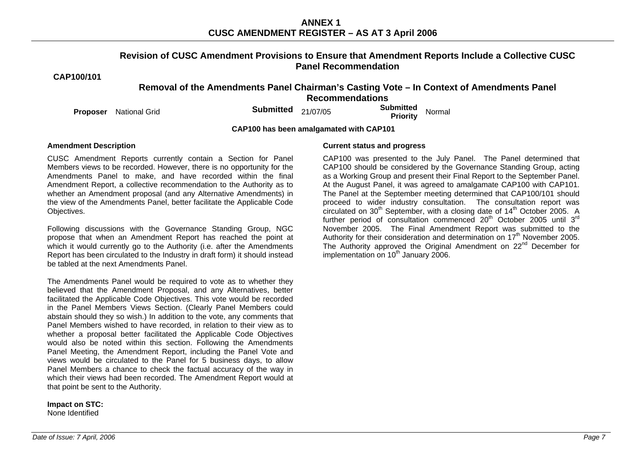### **Revision of CUSC Amendment Provisions to Ensure that Amendment Reports Include a Collective CUSC Panel Recommendation**

**CAP100/101** 

# **Removal of the Amendments Panel Chairman's Casting Vote – In Context of Amendments Panel Recommendations**

**Proposer** National Grid **Submitted** 21/07/05 **Submitted Proposer** National Grid

**CAP100 has been amalgamated with CAP101** 

CUSC Amendment Reports currently contain a Section for Panel Members views to be recorded. However, there is no opportunity for the Amendments Panel to make, and have recorded within the final Amendment Report, a collective recommendation to the Authority as to whether an Amendment proposal (and any Alternative Amendments) in the view of the Amendments Panel, better facilitate the Applicable Code Objectives.

Following discussions with the Governance Standing Group, NGC propose that when an Amendment Report has reached the point at which it would currently go to the Authority (i.e. after the Amendments Report has been circulated to the Industry in draft form) it should instead be tabled at the next Amendments Panel.

The Amendments Panel would be required to vote as to whether they believed that the Amendment Proposal, and any Alternatives, better facilitated the Applicable Code Objectives. This vote would be recorded in the Panel Members Views Section. (Clearly Panel Members could abstain should they so wish.) In addition to the vote, any comments that Panel Members wished to have recorded, in relation to their view as to whether a proposal better facilitated the Applicable Code Objectives would also be noted within this section. Following the Amendments Panel Meeting, the Amendment Report, including the Panel Vote and views would be circulated to the Panel for 5 business days, to allow Panel Members a chance to check the factual accuracy of the way in which their views had been recorded. The Amendment Report would at that point be sent to the Authority.

**Impact on STC:**  None Identified

### **Amendment Description Current status and progress**

 CAP100 was presented to the July Panel. The Panel determined that CAP100 should be considered by the Governance Standing Group, acting as a Working Group and present their Final Report to the September Panel. At the August Panel, it was agreed to amalgamate CAP100 with CAP101. The Panel at the September meeting determined that CAP100/101 should proceed to wider industry consultation. The consultation report was circulated on  $30<sup>th</sup>$  September, with a closing date of  $14<sup>th</sup>$  October 2005. A further period of consultation commenced 20<sup>th</sup> October 2005 until 3<sup>rd</sup> November 2005. The Final Amendment Report was submitted to the Authority for their consideration and determination on  $17<sup>th</sup>$  November 2005. The Authority approved the Original Amendment on 22<sup>nd</sup> December for implementation on  $10^{th}$  January 2006.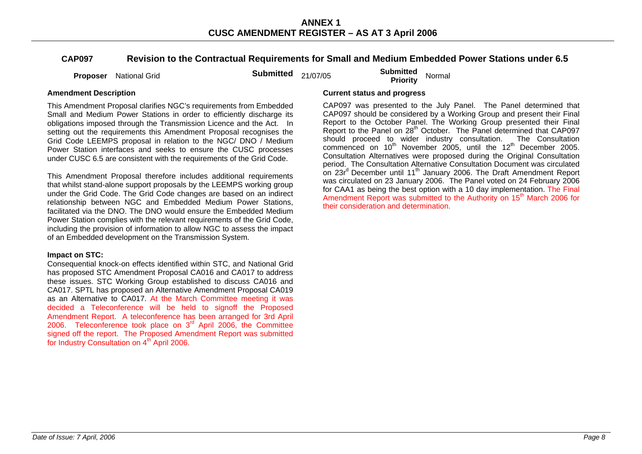# **CAP097 Revision to the Contractual Requirements for Small and Medium Embedded Power Stations under 6.5**

**Proposer** National Grid **Submitted** 21/07/05 **Submitted Proposer** National Grid

This Amendment Proposal clarifies NGC's requirements from Embedded Small and Medium Power Stations in order to efficiently discharge its obligations imposed through the Transmission Licence and the Act. In setting out the requirements this Amendment Proposal recognises the Grid Code LEEMPS proposal in relation to the NGC/ DNO / Medium Power Station interfaces and seeks to ensure the CUSC processes under CUSC 6.5 are consistent with the requirements of the Grid Code.

This Amendment Proposal therefore includes additional requirements that whilst stand-alone support proposals by the LEEMPS working group under the Grid Code. The Grid Code changes are based on an indirect relationship between NGC and Embedded Medium Power Stations, facilitated via the DNO. The DNO would ensure the Embedded Medium Power Station complies with the relevant requirements of the Grid Code, including the provision of information to allow NGC to assess the impact of an Embedded development on the Transmission System.

### **Impact on STC:**

Consequential knock-on effects identified within STC, and National Grid has proposed STC Amendment Proposal CA016 and CA017 to address these issues. STC Working Group established to discuss CA016 and CA017. SPTL has proposed an Alternative Amendment Proposal CA019 as an Alternative to CA017. At the March Committee meeting it was decided a Teleconference will be held to signoff the Proposed Amendment Report. A teleconference has been arranged for 3rd April 2006. Teleconference took place on 3<sup>rd</sup> April 2006, the Committee signed off the report. The Proposed Amendment Report was submitted for Industry Consultation on 4<sup>th</sup> April 2006.

### **Amendment Description Current status and progress**

CAP097 was presented to the July Panel. The Panel determined that CAP097 should be considered by a Working Group and present their Final Report to the October Panel. The Working Group presented their Final Report to the Panel on 28<sup>th</sup> October. The Panel determined that CAP097 should proceed to wider industry consultation. The Consultation commenced on 10<sup>th</sup> November 2005, until the 12<sup>th</sup> December 2005. Consultation Alternatives were proposed during the Original Consultation period. The Consultation Alternative Consultation Document was circulated on 23r<sup>d</sup> December until 11<sup>th</sup> January 2006. The Draft Amendment Report was circulated on 23 January 2006. The Panel voted on 24 February 2006 for CAA1 as being the best option with a 10 day implementation. The Final Amendment Report was submitted to the Authority on 15<sup>th</sup> March 2006 for their consideration and determination.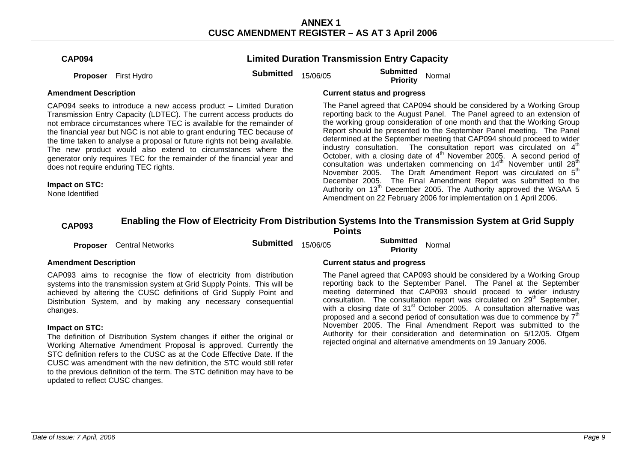|  | CAP094 |
|--|--------|
|--|--------|

# **Limited Duration Transmission Entry Capacity**

**Proposer** First Hydro **Submitted 15/06/05 Submitted Proposer** First Hydro **Submitted Submitted Priority** Normal

CAP094 seeks to introduce a new access product – Limited Duration Transmission Entry Capacity (LDTEC). The current access products do not embrace circumstances where TEC is available for the remainder of the financial year but NGC is not able to grant enduring TEC because of the time taken to analyse a proposal or future rights not being available. The new product would also extend to circumstances where the generator only requires TEC for the remainder of the financial year and does not require enduring TEC rights.

### **Impact on STC:**

None Identified

### **Amendment Description Current status and progress**

The Panel agreed that CAP094 should be considered by a Working Group reporting back to the August Panel. The Panel agreed to an extension of the working group consideration of one month and that the Working Group Report should be presented to the September Panel meeting. The Panel determined at the September meeting that CAP094 should proceed to wider industry consultation. The consultation report was circulated on  $4<sup>th</sup>$ October, with a closing date of 4<sup>th</sup> November 2005. A second period of consultation was undertaken commencing on 14<sup>th</sup> November until 28<sup>th</sup> November 2005. The Draft Amendment Report was circulated on 5<sup>th</sup> December 2005. The Final Amendment Report was submitted to the Authority on  $13<sup>th</sup>$  December 2005. The Authority approved the WGAA 5 Amendment on 22 February 2006 for implementation on 1 April 2006.

# **CAP093 Enabling the Flow of Electricity From Distribution Systems Into the Transmission System at Grid Supply Points**

**Proposer** Central Networks **Submitted** 15/06/05 **Submitted Proposer** Central Networks **Submitted Submitted** 15/06/05 **Priority** 

CAP093 aims to recognise the flow of electricity from distribution systems into the transmission system at Grid Supply Points. This will be achieved by altering the CUSC definitions of Grid Supply Point and Distribution System, and by making any necessary consequential changes.

### **Impact on STC:**

The definition of Distribution System changes if either the original or Working Alternative Amendment Proposal is approved. Currently the STC definition refers to the CUSC as at the Code Effective Date. If the CUSC was amendment with the new definition, the STC would still refer to the previous definition of the term. The STC definition may have to be updated to reflect CUSC changes.

### **Amendment Description Current status and progress**

The Panel agreed that CAP093 should be considered by a Working Group reporting back to the September Panel. The Panel at the September meeting determined that CAP093 should proceed to wider industry consultation. The consultation report was circulated on 29<sup>th</sup> September, with a closing date of 31<sup>st</sup> October 2005. A consultation alternative was proposed and a second period of consultation was due to commence by  $7<sup>th</sup>$ November 2005. The Final Amendment Report was submitted to the Authority for their consideration and determination on 5/12/05. Ofgem rejected original and alternative amendments on 19 January 2006.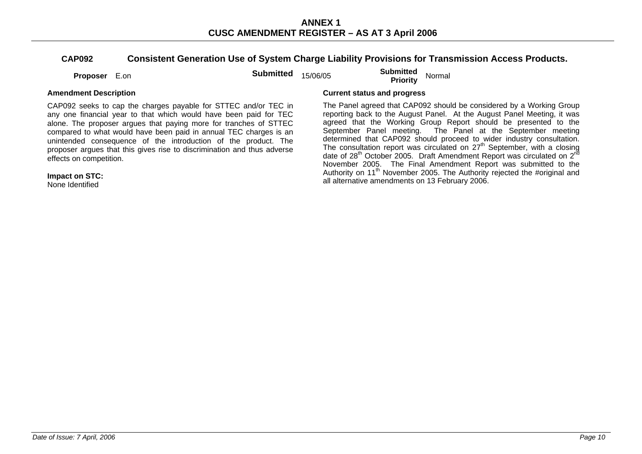# **CAP092 Consistent Generation Use of System Charge Liability Provisions for Transmission Access Products.**

**Proposer** E.on **Submitted** 15/06/05 **Submitted Proposer** E.on

CAP092 seeks to cap the charges payable for STTEC and/or TEC in any one financial year to that which would have been paid for TEC alone. The proposer argues that paying more for tranches of STTEC compared to what would have been paid in annual TEC charges is an unintended consequence of the introduction of the product. The proposer argues that this gives rise to discrimination and thus adverse effects on competition.

**Impact on STC:** 

None Identified

### **Amendment Description Current status and progress**

The Panel agreed that CAP092 should be considered by a Working Group reporting back to the August Panel. At the August Panel Meeting, it was agreed that the Working Group Report should be presented to the September Panel meeting. The Panel at the September meeting determined that CAP092 should proceed to wider industry consultation. The consultation report was circulated on  $27<sup>th</sup>$  September, with a closing date of 28<sup>th</sup> October 2005. Draft Amendment Report was circulated on 2<sup>nd</sup> November 2005. The Final Amendment Report was submitted to the Authority on 11<sup>th</sup> November 2005. The Authority rejected the #original and all alternative amendments on 13 February 2006.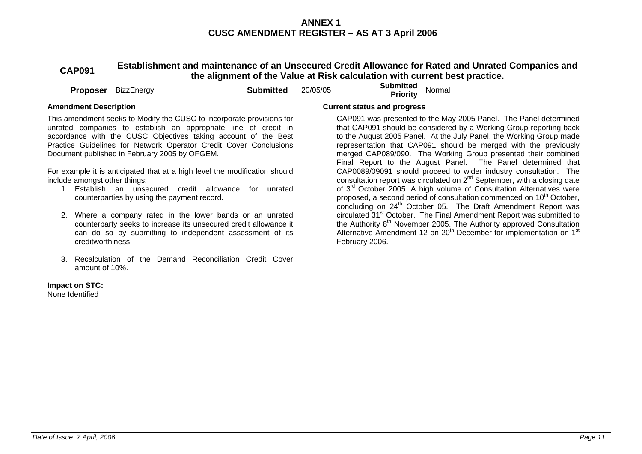**CAP091 Establishment and maintenance of an Unsecured Credit Allowance for Rated and Unrated Companies and the alignment of the Value at Risk calculation with current best practice.** 

**Proposer** BizzEnergy **Submitted** 20/05/05 **Submitted Proposer** BizzEnergy **Submitted** 20/05/05

This amendment seeks to Modify the CUSC to incorporate provisions for unrated companies to establish an appropriate line of credit in accordance with the CUSC Objectives taking account of the Best Practice Guidelines for Network Operator Credit Cover Conclusions Document published in February 2005 by OFGEM.

For example it is anticipated that at a high level the modification should include amongst other things:

- 1. Establish an unsecured credit allowance for unrated counterparties by using the payment record.
- 2. Where a company rated in the lower bands or an unrated counterparty seeks to increase its unsecured credit allowance it can do so by submitting to independent assessment of its creditworthiness.
- 3. Recalculation of the Demand Reconciliation Credit Cover amount of 10%.

# **Impact on STC:**

None Identified

### **Amendment Description Current status and progress**

 CAP091 was presented to the May 2005 Panel. The Panel determined that CAP091 should be considered by a Working Group reporting back to the August 2005 Panel. At the July Panel, the Working Group made representation that CAP091 should be merged with the previously merged CAP089/090. The Working Group presented their combined Final Report to the August Panel. The Panel determined that CAP0089/09091 should proceed to wider industry consultation. The consultation report was circulated on  $2^{nd}$  September, with a closing date of 3<sup>rd</sup> October 2005. A high volume of Consultation Alternatives were proposed, a second period of consultation commenced on 10<sup>th</sup> October. concluding on 24<sup>th</sup> October 05. The Draft Amendment Report was circulated 31<sup>st</sup> October. The Final Amendment Report was submitted to the Authority  $8<sup>th</sup>$  November 2005. The Authority approved Consultation Alternative Amendment 12 on 20<sup>th</sup> December for implementation on 1<sup>st</sup> February 2006.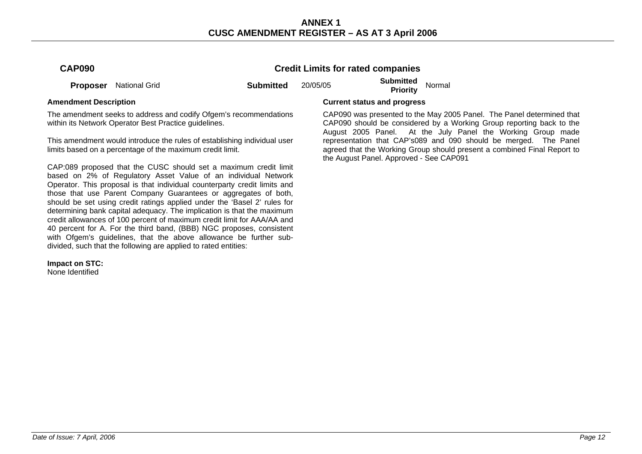# **Credit Limits for rated companies**

**Proposer** National Grid **Submitted** 20/05/05 **Submitted Proposer** National Grid

The amendment seeks to address and codify Ofgem's recommendations within its Network Operator Best Practice quidelines.

This amendment would introduce the rules of establishing individual user limits based on a percentage of the maximum credit limit.

CAP:089 proposed that the CUSC should set a maximum credit limit based on 2% of Regulatory Asset Value of an individual Network Operator. This proposal is that individual counterparty credit limits and those that use Parent Company Guarantees or aggregates of both, should be set using credit ratings applied under the 'Basel 2' rules for determining bank capital adequacy. The implication is that the maximum credit allowances of 100 percent of maximum credit limit for AAA/AA and 40 percent for A. For the third band, (BBB) NGC proposes, consistent with Ofgem's guidelines, that the above allowance be further subdivided, such that the following are applied to rated entities:

**Impact on STC:** 

None Identified

### **Amendment Description Current status and progress**

 CAP090 was presented to the May 2005 Panel. The Panel determined that CAP090 should be considered by a Working Group reporting back to the August 2005 Panel. At the July Panel the Working Group made representation that CAP's089 and 090 should be merged. The Panel agreed that the Working Group should present a combined Final Report to the August Panel. Approved - See CAP091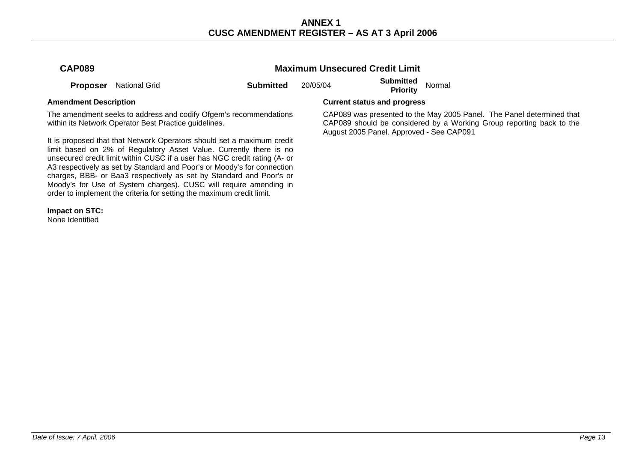| <b>CAP089</b> |                               |                  | <b>Maximum Unsecured Credit Limit</b> |                              |        |
|---------------|-------------------------------|------------------|---------------------------------------|------------------------------|--------|
|               | <b>Proposer</b> National Grid | <b>Submitted</b> | 20/05/04                              | Submitted<br><b>Priority</b> | Normal |

The amendment seeks to address and codify Ofgem's recommendations within its Network Operator Best Practice quidelines.

It is proposed that that Network Operators should set a maximum credit limit based on 2% of Regulatory Asset Value. Currently there is no unsecured credit limit within CUSC if a user has NGC credit rating (A- or A3 respectively as set by Standard and Poor's or Moody's for connection charges, BBB- or Baa3 respectively as set by Standard and Poor's or Moody's for Use of System charges). CUSC will require amending in order to implement the criteria for setting the maximum credit limit.

**Impact on STC:** 

None Identified

### **Amendment Description Current status and progress**

 CAP089 was presented to the May 2005 Panel. The Panel determined that CAP089 should be considered by a Working Group reporting back to the August 2005 Panel. Approved - See CAP091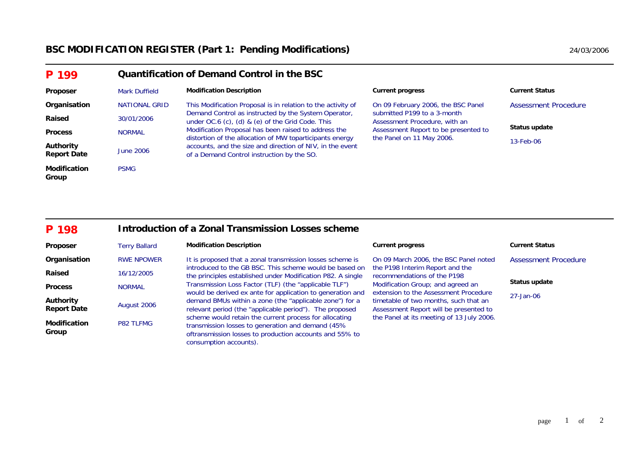# **BSC MODIFICATION REGISTER (Part 1: Pending Modifications)** 24/03/2006 24/03/2006

| P 199                           |                      | Quantification of Demand Control in the BSC                                                                      |                                                                   |                       |  |  |  |
|---------------------------------|----------------------|------------------------------------------------------------------------------------------------------------------|-------------------------------------------------------------------|-----------------------|--|--|--|
| Proposer                        | <b>Mark Duffield</b> | <b>Modification Description</b>                                                                                  | <b>Current progress</b>                                           | <b>Current Status</b> |  |  |  |
| Organisation                    | <b>NATIONAL GRID</b> | This Modification Proposal is in relation to the activity of                                                     | On 09 February 2006, the BSC Panel                                | Assessment Procedure  |  |  |  |
| Raised                          | 30/01/2006           | Demand Control as instructed by the System Operator,<br>under $OC.6$ (c), (d) & (e) of the Grid Code. This       | submitted P199 to a 3-month<br>Assessment Procedure, with an      |                       |  |  |  |
| <b>Process</b>                  | <b>NORMAL</b>        | Modification Proposal has been raised to address the<br>distortion of the allocation of MW toparticipants energy | Assessment Report to be presented to<br>the Panel on 11 May 2006. | Status update         |  |  |  |
| Authority<br><b>Report Date</b> | June 2006            | accounts, and the size and direction of NIV, in the event<br>of a Demand Control instruction by the SO.          |                                                                   | 13-Feb-06             |  |  |  |
| <b>Modification</b><br>Group    | <b>PSMG</b>          |                                                                                                                  |                                                                   |                       |  |  |  |

### **P 198Introduction of a Zonal Transmission Losses scheme**

| Proposer                        | <b>Terry Ballard</b> | <b>Modification Description</b>                                                                                                                                                                  | <b>Current progress</b>                                                         | <b>Current Status</b>       |
|---------------------------------|----------------------|--------------------------------------------------------------------------------------------------------------------------------------------------------------------------------------------------|---------------------------------------------------------------------------------|-----------------------------|
| Organisation                    | <b>RWE NPOWER</b>    | It is proposed that a zonal transmission losses scheme is                                                                                                                                        | On 09 March 2006, the BSC Panel noted                                           | <b>Assessment Procedure</b> |
| Raised                          | 16/12/2005           | introduced to the GB BSC. This scheme would be based on<br>the principles established under Modification P82. A single                                                                           | the P198 Interim Report and the<br>recommendations of the P198                  |                             |
| <b>Process</b>                  | <b>NORMAL</b>        | Transmission Loss Factor (TLF) (the "applicable TLF")<br>would be derived ex ante for application to generation and                                                                              | Modification Group; and agreed an<br>extension to the Assessment Procedure      | Status update               |
| Authority<br><b>Report Date</b> | August 2006          | demand BMUs within a zone (the "applicable zone") for a<br>relevant period (the "applicable period"). The proposed                                                                               | timetable of two months, such that an<br>Assessment Report will be presented to | 27-Jan-06                   |
| <b>Modification</b><br>Group    | <b>P82 TLFMG</b>     | scheme would retain the current process for allocating<br>transmission losses to generation and demand (45%<br>oftransmission losses to production accounts and 55% to<br>consumption accounts). | the Panel at its meeting of 13 July 2006.                                       |                             |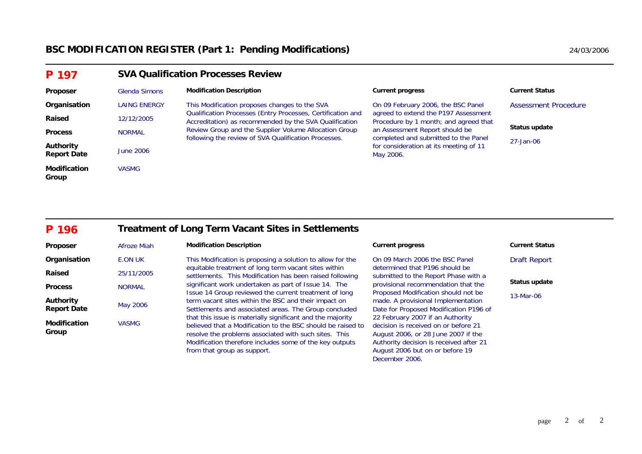| P 197                                  | <b>SVA Qualification Processes Review</b> |                                                                                                                       |                                                                               |                       |  |  |
|----------------------------------------|-------------------------------------------|-----------------------------------------------------------------------------------------------------------------------|-------------------------------------------------------------------------------|-----------------------|--|--|
| Proposer                               | Glenda Simons                             | <b>Modification Description</b>                                                                                       | <b>Current progress</b>                                                       | <b>Current Status</b> |  |  |
| Organisation                           | <b>LAING ENERGY</b>                       | This Modification proposes changes to the SVA                                                                         | On 09 February 2006, the BSC Panel                                            | Assessment Procedure  |  |  |
| Raised                                 | 12/12/2005                                | Qualification Processes (Entry Processes, Certification and<br>Accreditation) as recommended by the SVA Qualification | agreed to extend the P197 Assessment<br>Procedure by 1 month; and agreed that |                       |  |  |
| <b>Process</b>                         | <b>NORMAL</b>                             | Review Group and the Supplier Volume Allocation Group<br>following the review of SVA Qualification Processes.         | an Assessment Report should be<br>completed and submitted to the Panel        | Status update         |  |  |
| <b>Authority</b><br><b>Report Date</b> | <b>June 2006</b>                          |                                                                                                                       | for consideration at its meeting of 11<br>May 2006.                           | 27-Jan-06             |  |  |
| <b>Modification</b><br>Group           | <b>VASMG</b>                              |                                                                                                                       |                                                                               |                       |  |  |

### **P 196Treatment of Long Term Vacant Sites in Settlements**

| Proposer                        | Afroze Miah   | <b>Modification Description</b>                                                                                                                                                                                                                                              | <b>Current progress</b>                                                                                                                                                                                         | <b>Current Status</b> |
|---------------------------------|---------------|------------------------------------------------------------------------------------------------------------------------------------------------------------------------------------------------------------------------------------------------------------------------------|-----------------------------------------------------------------------------------------------------------------------------------------------------------------------------------------------------------------|-----------------------|
| Organisation                    | E.ON UK       | This Modification is proposing a solution to allow for the                                                                                                                                                                                                                   | On 09 March 2006 the BSC Panel                                                                                                                                                                                  | <b>Draft Report</b>   |
| Raised                          | 25/11/2005    | equitable treatment of long term vacant sites within<br>settlements. This Modification has been raised following                                                                                                                                                             | determined that P196 should be<br>submitted to the Report Phase with a                                                                                                                                          |                       |
| <b>Process</b>                  | <b>NORMAL</b> | significant work undertaken as part of Issue 14. The                                                                                                                                                                                                                         | provisional recommendation that the                                                                                                                                                                             | Status update         |
| Authority<br><b>Report Date</b> | May 2006      | Issue 14 Group reviewed the current treatment of long<br>term vacant sites within the BSC and their impact on<br>Settlements and associated areas. The Group concluded                                                                                                       | Proposed Modification should not be<br>made. A provisional Implementation<br>Date for Proposed Modification P196 of                                                                                             | 13-Mar-06             |
| <b>Modification</b><br>Group    | <b>VASMG</b>  | that this issue is materially significant and the majority<br>believed that a Modification to the BSC should be raised to<br>resolve the problems associated with such sites. This<br>Modification therefore includes some of the key outputs<br>from that group as support. | 22 February 2007 if an Authority<br>decision is received on or before 21<br>August 2006, or 28 June 2007 if the<br>Authority decision is received after 21<br>August 2006 but on or before 19<br>December 2006. |                       |